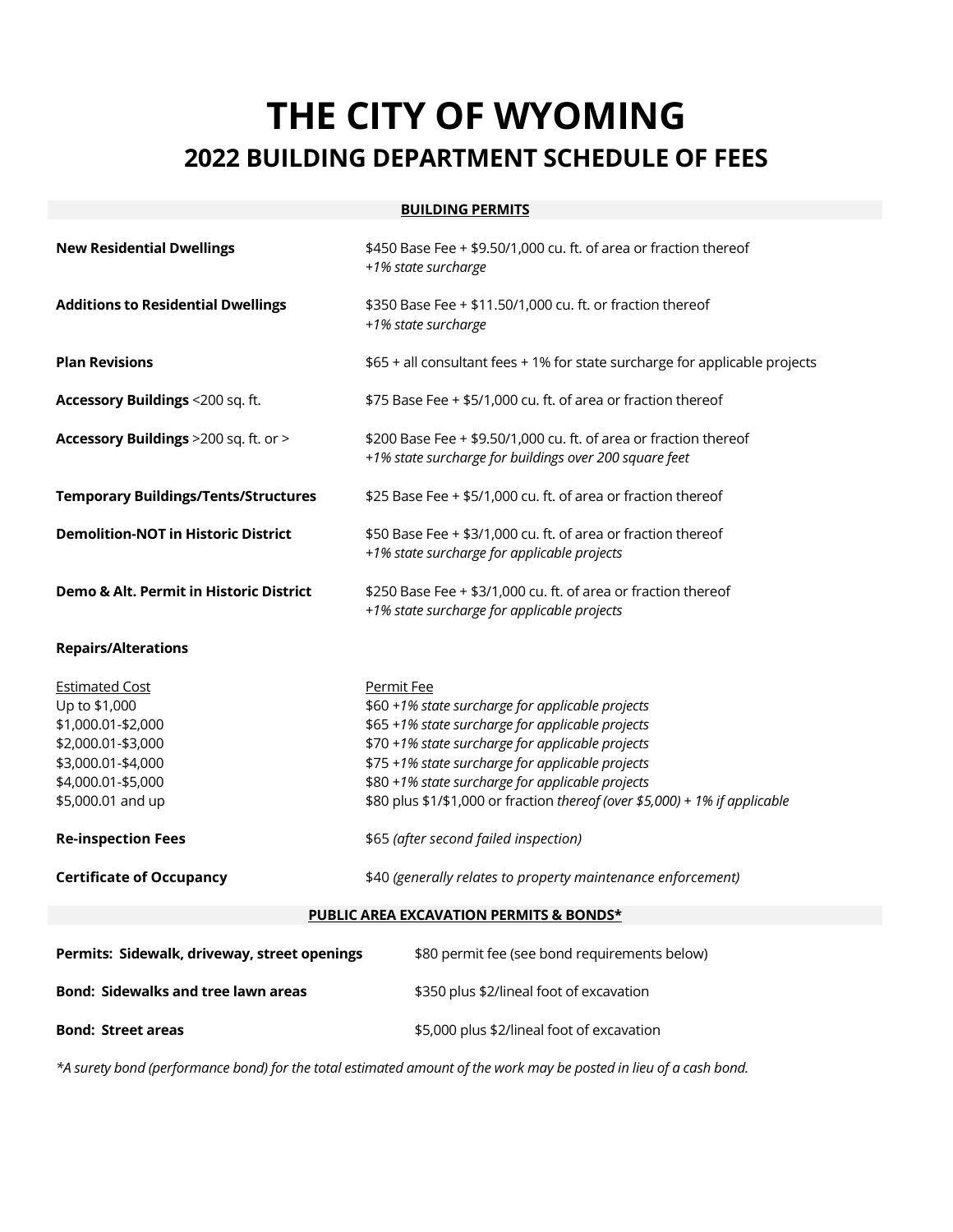## **THE CITY OF WYOMING 2022 BUILDING DEPARTMENT SCHEDULE OF FEES**

## **BUILDING PERMITS**

| <b>New Residential Dwellings</b>                                                    | \$450 Base Fee + \$9.50/1,000 cu. ft. of area or fraction thereof<br>+1% state surcharge                                                                                                                                                |
|-------------------------------------------------------------------------------------|-----------------------------------------------------------------------------------------------------------------------------------------------------------------------------------------------------------------------------------------|
| <b>Additions to Residential Dwellings</b>                                           | \$350 Base Fee + \$11.50/1,000 cu. ft. or fraction thereof<br>+1% state surcharge                                                                                                                                                       |
| <b>Plan Revisions</b>                                                               | \$65 + all consultant fees + 1% for state surcharge for applicable projects                                                                                                                                                             |
| Accessory Buildings <200 sq. ft.                                                    | \$75 Base Fee + \$5/1,000 cu. ft. of area or fraction thereof                                                                                                                                                                           |
| Accessory Buildings >200 sq. ft. or >                                               | \$200 Base Fee + \$9.50/1,000 cu. ft. of area or fraction thereof<br>+1% state surcharge for buildings over 200 square feet                                                                                                             |
| <b>Temporary Buildings/Tents/Structures</b>                                         | \$25 Base Fee + \$5/1,000 cu. ft. of area or fraction thereof                                                                                                                                                                           |
| <b>Demolition-NOT in Historic District</b>                                          | \$50 Base Fee + \$3/1,000 cu. ft. of area or fraction thereof<br>+1% state surcharge for applicable projects                                                                                                                            |
| Demo & Alt. Permit in Historic District                                             | \$250 Base Fee + \$3/1,000 cu. ft. of area or fraction thereof<br>+1% state surcharge for applicable projects                                                                                                                           |
| <b>Repairs/Alterations</b>                                                          |                                                                                                                                                                                                                                         |
| <b>Estimated Cost</b><br>Up to \$1,000<br>\$1,000.01-\$2,000                        | Permit Fee<br>\$60 +1% state surcharge for applicable projects<br>\$65 +1% state surcharge for applicable projects                                                                                                                      |
| \$2,000.01-\$3,000<br>\$3,000.01-\$4,000<br>\$4,000.01-\$5,000<br>\$5,000.01 and up | \$70 +1% state surcharge for applicable projects<br>\$75 +1% state surcharge for applicable projects<br>\$80 +1% state surcharge for applicable projects<br>\$80 plus \$1/\$1,000 or fraction thereof (over \$5,000) + 1% if applicable |
| <b>Re-inspection Fees</b>                                                           | \$65 (after second failed inspection)                                                                                                                                                                                                   |
| <b>Certificate of Occupancy</b>                                                     | \$40 (generally relates to property maintenance enforcement)                                                                                                                                                                            |
|                                                                                     | PUBLIC AREA EXCAVATION PERMITS & BONDS*                                                                                                                                                                                                 |
| Permits: Sidewalk, driveway, street openings                                        | \$80 permit fee (see bond requirements below)                                                                                                                                                                                           |
| <b>Bond: Sidewalks and tree lawn areas</b>                                          | \$350 plus \$2/lineal foot of excavation                                                                                                                                                                                                |

*\*A surety bond (performance bond) for the total estimated amount of the work may be posted in lieu of a cash bond.*